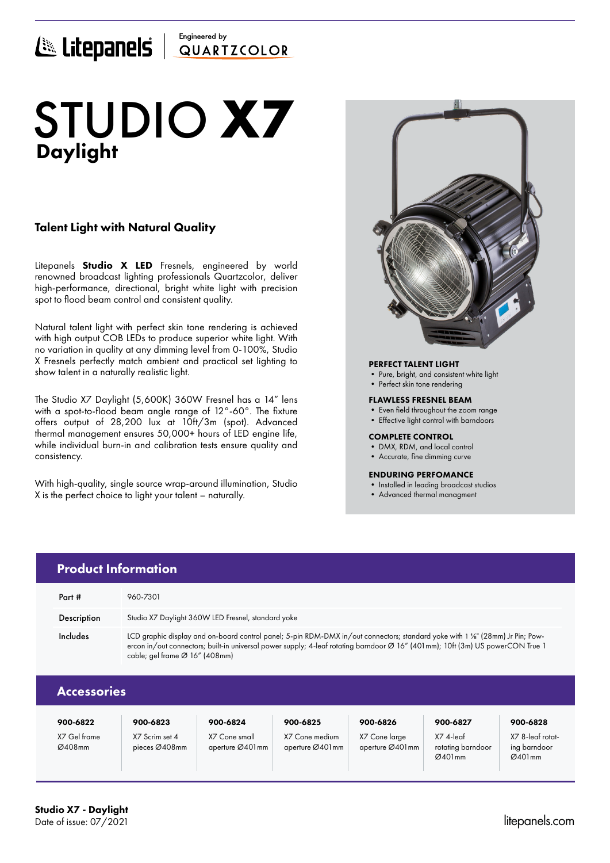# Engineered by E Litepanels QUARTICOLOR

# Daylight STUDIO **X7**

## Talent Light with Natural Quality

Litepanels **Studio X LED** Fresnels, engineered by world renowned broadcast lighting professionals Quartzcolor, deliver high-performance, directional, bright white light with precision spot to flood beam control and consistent quality.

Natural talent light with perfect skin tone rendering is achieved with high output COB LEDs to produce superior white light. With no variation in quality at any dimming level from 0-100%, Studio X Fresnels perfectly match ambient and practical set lighting to show talent in a naturally realistic light.

The Studio X7 Daylight (5,600K) 360W Fresnel has a 14" lens with a spot-to-flood beam angle range of 12°-60°. The fixture offers output of 28,200 lux at 10ft/3m (spot). Advanced thermal management ensures 50,000+ hours of LED engine life, while individual burn-in and calibration tests ensure quality and consistency.

With high-quality, single source wrap-around illumination, Studio X is the perfect choice to light your talent – naturally.

> X7 Scrim set 4 pieces Ø408mm

X7 Cone small aperture Ø401mm



### PERFECT TALENT LIGHT

- Pure, bright, and consistent white light
- Perfect skin tone rendering

### FLAWLESS FRESNEL BEAM

- Even field throughout the zoom range
- Effective light control with barndoors

### COMPLETE CONTROL

- DMX, RDM, and local control
- Accurate, fine dimming curve

### ENDURING PERFOMANCE

• Installed in leading broadcast studios

X7 4-leaf rotating barndoor Ø401mm

• Advanced thermal managment

|                    | <b>Product Information</b>                                                                                                                                                                                                                                                                                   |          |          |          |          |          |
|--------------------|--------------------------------------------------------------------------------------------------------------------------------------------------------------------------------------------------------------------------------------------------------------------------------------------------------------|----------|----------|----------|----------|----------|
| Part #             | 960-7301                                                                                                                                                                                                                                                                                                     |          |          |          |          |          |
| <b>Description</b> | Studio X7 Daylight 360W LED Fresnel, standard yoke                                                                                                                                                                                                                                                           |          |          |          |          |          |
| Includes           | LCD graphic display and on-board control panel; 5-pin RDM-DMX in/out connectors; standard yoke with 1 %" (28mm) Jr Pin; Pow-<br>ercon in/out connectors; built-in universal power supply; 4-leaf rotating barndoor Ø 16" (401mm); 10ft (3m) US powerCON True 1<br>cable; gel frame $\varnothing$ 16" (408mm) |          |          |          |          |          |
| <b>Accessories</b> |                                                                                                                                                                                                                                                                                                              |          |          |          |          |          |
| 900-6822           | 900-6823                                                                                                                                                                                                                                                                                                     | 900-6824 | 900-6825 | 900-6826 | 900-6827 | 900-6828 |

X7 Cone medium aperture Ø401mm X7 Cone large aperture Ø401mm X7 8-leaf rotating barndoor  $Ø401mm$ 

X7 Gel frame Ø408mm